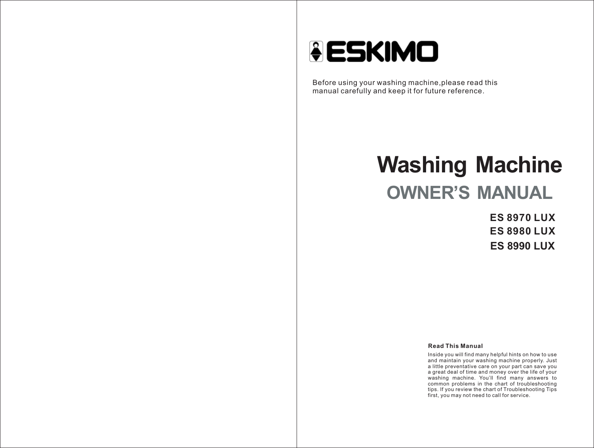

Before using your washing machine,please read this manual carefully and keep it for future reference.

# **Washing Machine OWNER'S MANUAL**

**ES 8970 LUX ES 8980 LUX ES 8990 LUX**

#### **Read This Manual**

Inside you will find many helpful hints on how to use and maintain your washing machine properly. Just a little preventative care on your part can save you a great deal of time and money over the life of your washing machine. You'll find many answers to common problems in the chart of troubleshooting tips. If you review the chart of Troubleshooting Tips first, you may not need to call for service.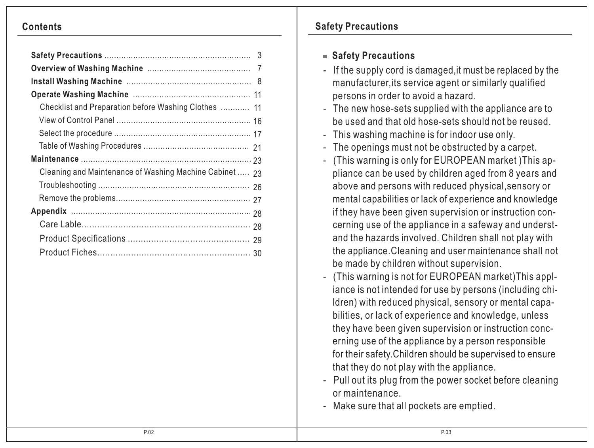| Checklist and Preparation before Washing Clothes  11    |
|---------------------------------------------------------|
|                                                         |
|                                                         |
|                                                         |
|                                                         |
| Cleaning and Maintenance of Washing Machine Cabinet  23 |
|                                                         |
|                                                         |
|                                                         |
|                                                         |
|                                                         |
|                                                         |

# **Contents Safety Precautions**

# **Safety Precautions**

- If the supply cord is damaged,it must be replaced by the manufacturer,its service agent or similarly qualified persons in order to avoid a hazard.
- The new hose-sets supplied with the appliance are to be used and that old hose-sets should not be reused.
- This washing machine is for indoor use only.
- The openings must not be obstructed by a carpet.
- (This warning is only for EUROPEAN market )This ap pliance can be used by children aged from 8 years and above and persons with reduced physical,sensory or mental capabilities or lack of experience and knowledge if they have been given supervision or instruction con cerning use of the appliance in a safeway and underst and the hazards involved. Children shall not play with the appliance.Cleaning and user maintenance shall not be made by children without supervision.
- (This warning is not for EUROPEAN market)This appl iance is not intended for use by persons (including chi ldren) with reduced physical, sensory or mental capa bilities, or lack of experience and knowledge, unless they have been given supervision or instruction conc erning use of the appliance by a person responsible for their safety.Children should be supervised to ensure that they do not play with the appliance.
- Pull out its plug from the power socket before cleaning or maintenance.
- Make sure that all pockets are emptied.

Ī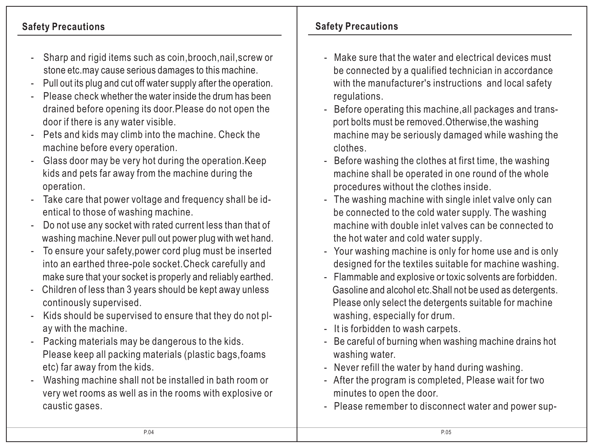- Sharp and rigid items such as coin,brooch,nail,screw or stone etc.may cause serious damages to this machine.
- Pull out its plug and cut off water supply after the operation.
- Please check whether the water inside the drum has been drained before opening its door.Please do not open the door if there is any water visible.
- Pets and kids may climb into the machine. Check the machine before every operation.
- Glass door may be very hot during the operation.Keep kids and pets far away from the machine during the operation.
- Take care that power voltage and frequency shall be identical to those of washing machine.
- Do not use any socket with rated current less than that of washing machine.Never pull out power plug with wet hand.
- To ensure your safety, power cord plug must be inserted into an earthed three-pole socket.Check carefully and make sure that your socket is properly and reliably earthed.
- Children of less than 3 years should be kept away unless continously supervised.
- Kids should be supervised to ensure that they do not pl ay with the machine.
- Packing materials may be dangerous to the kids. Please keep all packing materials (plastic bags,foams etc) far away from the kids.
- Washing machine shall not be installed in bath room or very wet rooms as well as in the rooms with explosive or caustic gases.

# **Safety Precautions Safety Precautions**

- Make sure that the water and electrical devices must be connected by a qualified technician in accordance with the manufacturer's instructions and local safety regulations.
- Before operating this machine,all packages and transport bolts must be removed.Otherwise,the washing machine may be seriously damaged while washing the clothes.
- Before washing the clothes at first time, the washing machine shall be operated in one round of the whole procedures without the clothes inside.
- The washing machine with single inlet valve only can be connected to the cold water supply. The washing machine with double inlet valves can be connected to the hot water and cold water supply.
- Your washing machine is only for home use and is only designed for the textiles suitable for machine washing.
- Flammable and explosive or toxic solvents are forbidden. Gasoline and alcohol etc.Shall not be used as detergents. Please only select the detergents suitable for machine washing, especially for drum.
- It is forbidden to wash carpets.

Ī İ

- Be careful of burning when washing machine drains hot washing water.
- Never refill the water by hand during washing.
- After the program is completed, Please wait for two minutes to open the door.
- Please remember to disconnect water and power sup-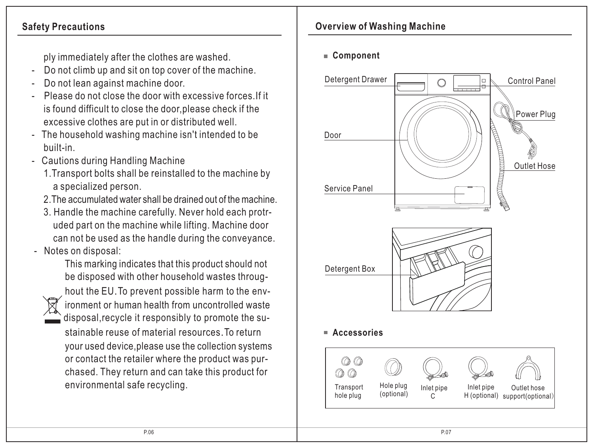ply immediately after the clothes are washed.

- Do not climb up and sit on top cover of the machine.
- Do not lean against machine door.
- Please do not close the door with excessive forces.If it is found difficult to close the door,please check if the excessive clothes are put in or distributed well.
- The household washing machine isn't intended to be built-in.
- Cautions during Handling Machine
	- 1.Transport bolts shall be reinstalled to the machine by a specialized person.
	- 2. The accumulated water shall be drained out of the machine.
	- 3. Handle the machine carefully. Never hold each protr uded part on the machine while lifting. Machine door can not be used as the handle during the conveyance.
- Notes on disposal:

 This marking indicates that this product should not be disposed with other household wastes throug-



 hout the EU.To prevent possible harm to the env ironment or human health from uncontrolled waste disposal,recycle it responsibly to promote the su-

 stainable reuse of material resources.To return your used device,please use the collection systems or contact the retailer where the product was pur chased. They return and can take this product for environmental safe recycling.

# **Safety Precautions COVERTIGATE: Overview of Washing Machine Overview of Washing Machine**

**Component**

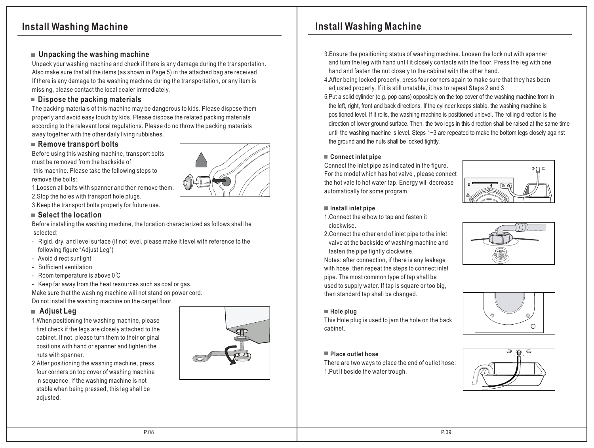# **Install Washing Machine Install Washing Machine**

## **Unpacking the washing machine**

Unpack your washing machine and check if there is any damage during the transportation. Also make sure that all the items (as shown in Page 5) in the attached bag are received. If there is any damage to the washing machine during the transportation, or any item is missing, please contact the local dealer immediately.

## **Dispose the packing materials**

The packing materials of this machine may be dangerous to kids. Please dispose them properly and avoid easy touch by kids. Please dispose the related packing materials according to the relevant local regulations. Please do no throw the packing materials away together with the other daily living rubbishes.

#### ■ Remove transport bolts

Before using this washing machine, transport bolts must be removed from the backside of

 this machine. Please take the following steps to remove the bolts:

1.Loosen all bolts with spanner and then remove them. 2.Stop the holes with transport hole plugs.

3.Keep the transport bolts properly for future use.

#### ■ Select the location

Before installing the washing machine, the location characterized as follows shall be selected:

- Rigid, dry, and level surface (if not level, please make it level with reference to the following figure "Adjust Leg")
- Avoid direct sunlight
- Sufficient ventilation
- Room temperature is above  $0^{\circ}C$
- Keep far away from the heat resources such as coal or gas.

Make sure that the washing machine will not stand on power cord.

Do not install the washing machine on the carpet floor.

## **Adjust Leg**

- 1.When positioning the washing machine, please first check if the legs are closely attached to the cabinet. If not, please turn them to their original positions with hand or spanner and tighten the nuts with spanner.
- 2.After positioning the washing machine, press four corners on top cover of washing machine in sequence. If the washing machine is not stable when being pressed, this leg shall be adjusted.





- 3.Ensure the positioning status of washing machine. Loosen the lock nut with spanner and turn the leg with hand until it closely contacts with the floor. Press the leg with one hand and fasten the nut closely to the cabinet with the other hand.
- 4.After being locked properly, press four corners again to make sure that they has been adjusted properly. If it is still unstable, it has to repeat Steps 2 and 3.
- 5.Put a solid cylinder (e.g. pop cans) oppositely on the top cover of the washing machine from in the left, right, front and back directions. If the cylinder keeps stable, the washing machine is positioned level. If it rolls, the washing machine is positioned unlevel. The rolling direction is the direction of lower ground surface. Then, the two legs in this direction shall be raised at the same time until the washing machine is level. Steps 1~3 are repeated to make the bottom legs closely against the ground and the nuts shall be locked tightly.

#### **Connect inlet pipe**

Connect the inlet pipe as indicated in the figure. For the model which has hot valve , please connect the hot vale to hot water tap. Energy will decrease automatically for some program.



#### **Install inlet pipe**

- 1.Connect the elbow to tap and fasten it clockwise.
- 2.Connect the other end of inlet pipe to the inlet valve at the backside of washing machine and fasten the pipe tightly clockwise.

Notes: after connection, if there is any leakage with hose, then repeat the steps to connect inlet pipe. The most common type of tap shall be used to supply water. If tap is square or too big, then standard tap shall be changed.

This Hole plug is used to jam the hole on the back

# $\bigcap$

## **Place outlet hose**

**Hole plug** 

cabinet.

There are two ways to place the end of outlet hose: 1.Put it beside the water trough.



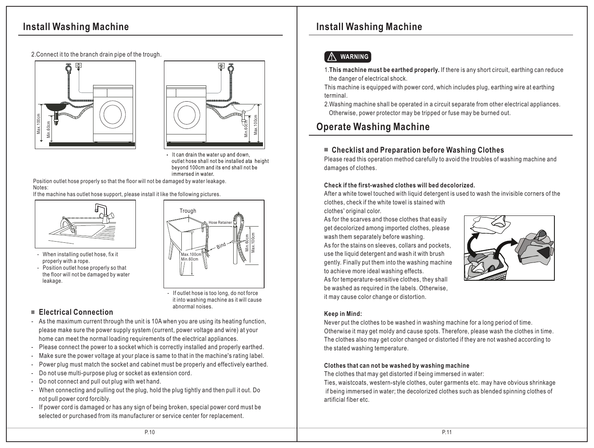# **Install Washing Machine Install Washing Machine**

2.Connect it to the branch drain pipe of the trough.





- It can drain the water up and down. outlet hose shall not be installed ata height bevond 100cm and its end shall not be immersed in water.

 Position outlet hose properly so that the floor will not be damaged by water leakage. Notes:

If the machine has outlet hose support, please install it like the following pictures.



- When installing outlet hose, fix it properly with a rope.
- Position outlet hose properly so that the floor will not be damaged by water leakage.

# **Trough** Hose Retainer Bind Max.100cm Min.60cm Min.60cm Max.100cm If outlet hose is too long, do not force

it into washing machine as it will cause

abnormal noises.

 **Electrical Connection**

- As the maximum current through the unit is 10A when you are using its heating function, please make sure the power supply system (current, power voltage and wire) at your home can meet the normal loading requirements of the electrical appliances.
- Please connect the power to a socket which is correctly installed and properly earthed.
- Make sure the power voltage at your place is same to that in the machine's rating label.
- Power plug must match the socket and cabinet must be properly and effectively earthed.
- Do not use multi-purpose plug or socket as extension cord.
- Do not connect and pull out plug with wet hand.
- When connecting and pulling out the plug, hold the plug tightly and then pull it out. Do not pull power cord forcibly.
- If power cord is damaged or has any sign of being broken, special power cord must be selected or purchased from its manufacturer or service center for replacement.

## ! **WARNING**

1.**This machine must be earthed properly.** If there is any short circuit, earthing can reduce the danger of electrical shock.

This machine is equipped with power cord, which includes plug, earthing wire at earthing terminal.

2.Washing machine shall be operated in a circuit separate from other electrical appliances. Otherwise, power protector may be tripped or fuse may be burned out.

# **Operate Washing Machine**

## **Checklist and Preparation before Washing Clothes**

Please read this operation method carefully to avoid the troubles of washing machine and damages of clothes.

#### **Check if the first-washed clothes will bed decolorized.**

After a white towel touched with liquid detergent is used to wash the invisible corners of the clothes, check if the white towel is stained with

clothes' original color.

As for the scarves and those clothes that easily get decolorized among imported clothes, please wash them separately before washing. As for the stains on sleeves, collars and pockets, use the liquid detergent and wash it with brush gently. Finally put them into the washing machine to achieve more ideal washing effects. As for temperature-sensitive clothes, they shall be washed as required in the labels. Otherwise, it may cause color change or distortion.



#### **Keep in Mind:**

Never put the clothes to be washed in washing machine for a long period of time. Otherwise it may get moldy and cause spots. Therefore, please wash the clothes in time. The clothes also may get color changed or distorted if they are not washed according to the stated washing temperature.

#### **Clothes that can not be washed by washing machine**

The clothes that may get distorted if being immersed in water:

Ties, waistcoats, western-style clothes, outer garments etc. may have obvious shrinkage if being immersed in water; the decolorized clothes such as blended spinning clothes of artificial fiber etc.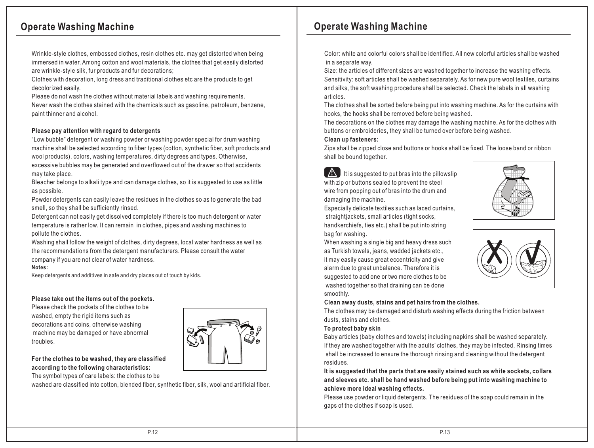Wrinkle-style clothes, embossed clothes, resin clothes etc. may get distorted when being immersed in water. Among cotton and wool materials, the clothes that get easily distorted are wrinkle-style silk, fur products and fur decorations;

Clothes with decoration, long dress and traditional clothes etc are the products to get decolorized easily.

Please do not wash the clothes without material labels and washing requirements. Never wash the clothes stained with the chemicals such as gasoline, petroleum, benzene, paint thinner and alcohol.

#### **Please pay attention with regard to detergents**

"Low bubble" detergent or washing powder or washing powder special for drum washing machine shall be selected according to fiber types (cotton, synthetic fiber, soft products and wool products), colors, washing temperatures, dirty degrees and types. Otherwise, excessive bubbles may be generated and overflowed out of the drawer so that accidents may take place.

Bleacher belongs to alkali type and can damage clothes, so it is suggested to use as little as possible.

Powder detergents can easily leave the residues in the clothes so as to generate the bad smell, so they shall be sufficiently rinsed.

Detergent can not easily get dissolved completely if there is too much detergent or water temperature is rather low. It can remain in clothes, pipes and washing machines to pollute the clothes.

Washing shall follow the weight of clothes, dirty degrees, local water hardness as well as the recommendations from the detergent manufacturers. Please consult the water company if you are not clear of water hardness.

#### **Notes:**

Keep detergents and additives in safe and dry places out of touch by kids.

#### **Please take out the items out of the pockets.**

Please check the pockets of the clothes to be washed, empty the rigid items such as decorations and coins, otherwise washing machine may be damaged or have abnormal troubles.



#### **For the clothes to be washed, they are classified according to the following characteristics:**

The symbol types of care labels: the clothes to be

washed are classified into cotton, blended fiber, synthetic fiber, silk, wool and artificial fiber.

# **Operate Washing Machine Operate Washing Machine**

Color: white and colorful colors shall be identified. All new colorful articles shall be washed in a separate way.

Size: the articles of different sizes are washed together to increase the washing effects. Sensitivity: soft articles shall be washed separately. As for new pure wool textiles, curtains and silks, the soft washing procedure shall be selected. Check the labels in all washing articles.

The clothes shall be sorted before being put into washing machine. As for the curtains with hooks, the hooks shall be removed before being washed.

The decorations on the clothes may damage the washing machine. As for the clothes with buttons or embroideries, they shall be turned over before being washed.

#### **Clean up fasteners:**

Zips shall be zipped close and buttons or hooks shall be fixed. The loose band or ribbon shall be bound together.

 $\Box$  It is suggested to put bras into the pillowslip with zip or buttons sealed to prevent the steel wire from popping out of bras into the drum and damaging the machine.

Especially delicate textiles such as laced curtains, straightjackets, small articles (tight socks, handkerchiefs, ties etc.) shall be put into string bag for washing.

When washing a single big and heavy dress such as Turkish towels, jeans, wadded jackets etc., it may easily cause great eccentricity and give alarm due to great unbalance. Therefore it is suggested to add one or two more clothes to be washed together so that draining can be done smoothly.

#### **Clean away dusts, stains and pet hairs from the clothes.**

The clothes may be damaged and disturb washing effects during the friction between dusts, stains and clothes.

#### **To protect baby skin**

Baby articles (baby clothes and towels) including napkins shall be washed separately. If they are washed together with the adults' clothes, they may be infected. Rinsing times shall be increased to ensure the thorough rinsing and cleaning without the detergent residues.

**It is suggested that the parts that are easily stained such as white sockets, collars and sleeves etc. shall be hand washed before being put into washing machine to achieve more ideal washing effects.**

Please use powder or liquid detergents. The residues of the soap could remain in the gaps of the clothes if soap is used.



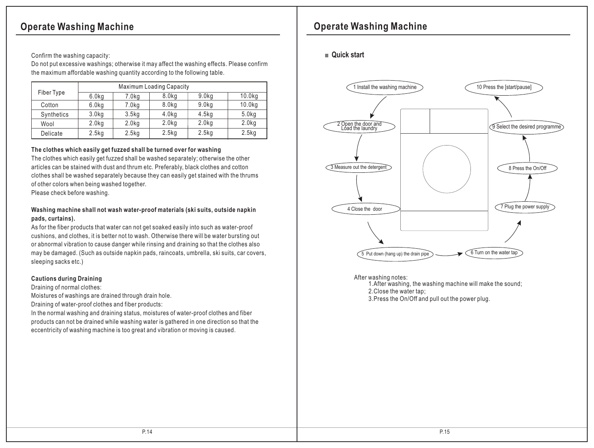Confirm the washing capacity:

Do not put excessive washings; otherwise it may affect the washing effects. Please confirm the maximum affordable washing quantity according to the following table.

|            | <b>Maximum Loading Capacity</b> |                   |                   |                   |                   |  |  |
|------------|---------------------------------|-------------------|-------------------|-------------------|-------------------|--|--|
| Fiber Type | 6.0 <sub>kq</sub>               | 7.0kg             | 8.0kg             | 9.0kg             | 10.0kg            |  |  |
| Cotton     | 6.0kg                           | 7.0 <sub>kq</sub> | 8.0 <sub>kg</sub> | 9.0 <sub>kq</sub> | 10.0kg            |  |  |
| Synthetics | 3.0 <sub>kg</sub>               | 3.5kg             | 4.0kg             | 4.5 <sub>kq</sub> | 5.0kg             |  |  |
| Wool       | 2.0 <sub>kq</sub>               | 2.0kg             | 2.0 <sub>kg</sub> | 2.0 <sub>kq</sub> | 2.0 <sub>kq</sub> |  |  |
| Delicate   | 2.5 <sub>kq</sub>               | 2.5 <sub>kq</sub> | 2.5kg             | 2.5 <sub>kq</sub> | 2.5kg             |  |  |

#### **The clothes which easily get fuzzed shall be turned over for washing**

The clothes which easily get fuzzed shall be washed separately; otherwise the other articles can be stained with dust and thrum etc. Preferably, black clothes and cotton clothes shall be washed separately because they can easily get stained with the thrums of other colors when being washed together.

Please check before washing.

#### **Washing machine shall not wash water-proof materials (ski suits, outside napkin pads, curtains).**

As for the fiber products that water can not get soaked easily into such as water-proof cushions, and clothes, it is better not to wash. Otherwise there will be water bursting out or abnormal vibration to cause danger while rinsing and draining so that the clothes also may be damaged. (Such as outside napkin pads, raincoats, umbrella, ski suits, car covers, sleeping sacks etc.)

#### **Cautions during Draining**

Draining of normal clothes:

Moistures of washings are drained through drain hole.

Draining of water-proof clothes and fiber products:

In the normal washing and draining status, moistures of water-proof clothes and fiber products can not be drained while washing water is gathered in one direction so that the eccentricity of washing machine is too great and vibration or moving is caused.

# **Operate Washing Machine Operate Washing Machine**

#### **Quick start**



After washing notes:

1.After washing, the washing machine will make the sound ;

2.Close the water tap;

3.Press the On/Off and pull out the power plug.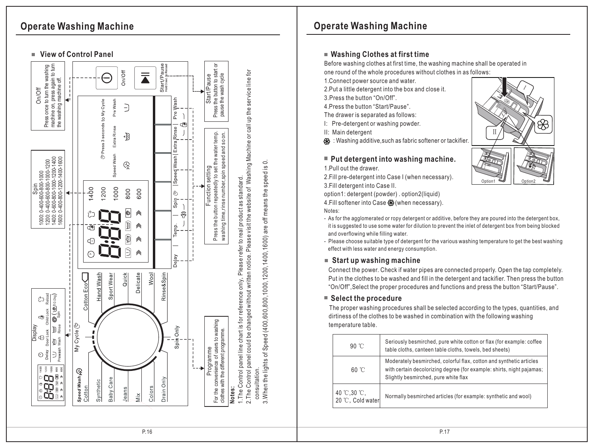# **Operate Washing Machine**



# **Operate Washing Machine**

## $\blacksquare$  Washing Clothes at first time

Before washing clothes at first time, the washing machine shall be operated in one round of the whole procedures without clothes in as follows:

1.Connect power source and water.

2.Put a little detergent into the box and close it.

3.Press the button "On/Off".

4.Press the button "Start/Pause".

The drawer is separated as follows:

I: Pre-detergent or washing powder.

II: Main detergent

 $\mathcal{\mathfrak{B}}$   $:$  Washing additive,such as fabric softener or tackifier.

## $\blacksquare$  Put detergent into washing machine.

1.P ull o ut t he d r a w er.

2.Fill pre-detergent into Case I (when necessary).

3.Fill detergent into Case II.

4. Fill softener into Case & (when necessary). tion1: detergent (powder) . option2(liquid)

Notes:

- As for the agglomerated or ropy detergent or additive, before they are poured into the detergent box, it is suggested to use some water for dilution to prevent the inlet of detergent box from being blocked a nd o v e r flo wing w hile filling w a t er. op 4.F<br>A No 4 it a F e ■ (F

- Please choose suitable type of detergent for the various washing temperature to get the best washing effect with less water and energy consumption.

## **Start up washing machine**

Connect the power. Check if water pipes are connected properly. Open the tap completely. Put in the clothes to be washed and fill in the detergent and tackifier. Then press the button "On/Off",Select the proper procedures and functions and press the button "Start/Pause".

## $\blacksquare$  Select the procedure

The proper washing procedures shall be selected according to the types, quantities, and dirtiness of the clothes to be washed in combination with the following washing temperature table.

| $90^{\circ}$ C                  | Seriously besmirched, pure white cotton or flax (for example: coffee<br>table cloths, canteen table cloths, towels, bed sheets)                                                      |
|---------------------------------|--------------------------------------------------------------------------------------------------------------------------------------------------------------------------------------|
| 60 °C                           | Moderately besmirched, colorful flax, cotton and synthetic articles<br>with certain decolorizing degree (for example: shirts, night pajamas;<br>Slightly besmirched, pure white flax |
| 40 ℃,30 ℃,<br>20 °C, Cold water | Normally besmirched articles (for example: synthetic and wool)                                                                                                                       |



Option<sub>2</sub>

O p tio n 1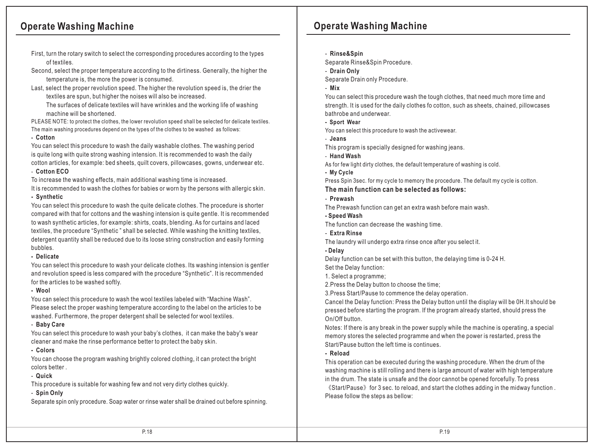- First, turn the rotary switch to select the corresponding procedures according to the types of textiles.
- Second, select the proper temperature according to the dirtiness. Generally, the higher the temperature is, the more the power is consumed.
- Last, select the proper revolution speed. The higher the revolution speed is, the drier the textiles are spun, but higher the noises will also be increased.

 The surfaces of delicate textiles will have wrinkles and the working life of washing machine will be shortened.

PLEASE NOTE: to protect the clothes, the lower revolution speed shall be selected for delicate textiles. The main washing procedures depend on the types of the clothes to be washed as follows:

#### **- Cotton**

You can select this procedure to wash the daily washable clothes. The washing period is quite long with quite strong washing intension. It is recommended to wash the daily cotton articles, for example: bed sheets, quilt covers, pillowcases, gowns, underwear etc.

#### - **Cotton ECO**

To increase the washing effects, main additional washing time is increased.

It is recommended to wash the clothes for babies or worn by the persons with allergic skin.

#### **- Synthetic**

You can select this procedure to wash the quite delicate clothes. The procedure is shorter compared with that for cottons and the washing intension is quite gentle. It is recommended to wash synthetic articles, for example: shirts, coats, blending. As for curtains and laced textiles, the procedure "Synthetic " shall be selected. While washing the knitting textiles, detergent quantity shall be reduced due to its loose string construction and easily forming bubbles.

#### **- Delicate**

You can select this procedure to wash your delicate clothes. Its washing intension is gentler and revolution speed is less compared with the procedure "Synthetic". It is recommended for the articles to be washed softly.

#### **- Wool**

You can select this procedure to wash the wool textiles labeled with "Machine Wash". Please select the proper washing temperature according to the label on the articles to be washed. Furthermore, the proper detergent shall be selected for wool textiles.

#### - **Baby Care**

You can select this procedure to wash your baby's clothes,it can make the baby's wear cleaner and make the rinse performance better to protect the baby skin.

#### **- Colors**

You can choose the program washing brightly colored clothing, it can protect the bright colors better .

#### - **Quick**

This procedure is suitable for washing few and not very dirty clothes quickly.

#### - **Spin Only**

Separate spin only procedure. Soap water or rinse water shall be drained out before spinning.

# **Operate Washing Machine Operate Washing Machine**

- **Rinse&Spin**

Separate Rinse&Spin Procedure.

- **Drain Only** 

Separate Drain only Procedure.

- **Mix**

You can select this procedure wash the tough clothes, that need much more time and strength. It is used for the daily clothes fo cotton, such as sheets, chained, pillowcases bathrobe and underwear.

**- Sport Wear**

You can select this procedure to wash the activewear.

- **Jeans** 

This program is specially designed for washing jeans.

- **Hand Wash**

As for few light dirty clothes, the default temperature of washing is cold.

**- My Cycle**

Press Spin 3sec. for my cycle to memory the procedure. The default my cycle is cotton.

#### **The main function can be selected as follows:**

- **Prewash**

The Prewash function can get an extra wash before main wash.

**- Speed Wash**

The function can decrease the washing time.

- **Extra Rinse**
- The laundry will undergo extra rinse once after you select it.

#### **- Delay**

Delay function can be set with this button, the delaying time is 0-24 H. Set the Delay function:

1. Select a programme;

2.Press the Delay button to choose the time;

3.Press Start/Pause to commence the delay operation.

Cancel the Delay function: Press the Delay button until the display will be 0H.It should be pressed before starting the program. If the program already started, should press the On/Off button.

Notes: If there is any break in the power supply while the machine is operating, a special memory stores the selected programme and when the power is restarted, press the Start/Pause button the left time is continues.

#### **- Reload**

This operation can be executed during the washing procedure. When the drum of the washing machine is still rolling and there is large amount of water with high temperature in the drum. The state is unsafe and the door cannot be opened forcefully. To press

《Start/Pause》for 3 sec. to reload, and start the clothes adding in the midway function . Please follow the steps as bellow: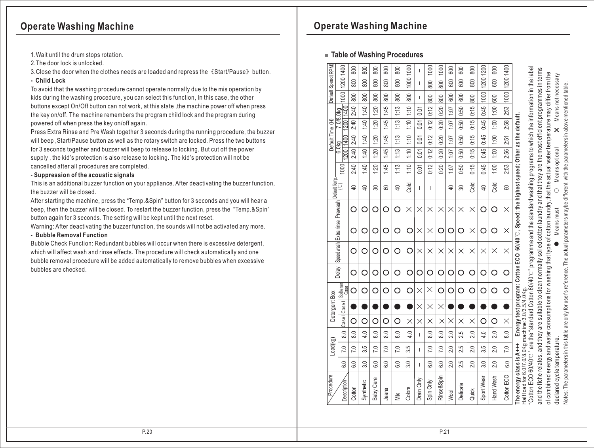- 1.Wait until the drum stops rotation.
- 2.The door lock is unlocked.
- 3.Close the door when the clothes needs are loaded and repress the《Start/Pause》button.
- **Child Lock**

To avoid that the washing procedure cannot operate normally due to the mis operation by kids during the washing procedure, you can select this function, In this case, the other buttons except On/Off button can not work, at this state, the machine power off when press the key on/off. The machine remembers the program child lock and the program during powered off when press the key on/off again.

Press Extra Rinse and Pre Wash together 3 seconds during the running procedure, the buzzer will beep ,Start/Pause button as well as the rotary switch are locked. Press the two buttons for 3 seconds together and buzzer will beep to release to locking. But cut off the power supply , the kid's protection is also release to locking. The kid's protection will not be cancelled after all procedures are completed.

#### - **Suppression of the acoustic signals**

This is an additional buzzer function on your appliance. After deactivating the buzzer function, the buzzer will be closed.

After starting the machine, press the "Temp.&Spin" button for 3 seconds and you will hear a beep, then the buzzer will be closed. To restart the buzzer function, press the "Temp.&Spin" button again for 3 seconds. The setting will be kept until the next reset.

Warning: After deactivating the buzzer function, the sounds will not be activated any more.

#### - **Bubble Removal Function**

Bubble Check Function: Redundant bubbles will occur when there is excessive detergent, which will affect wash and rinse effects. The procedure will check automatically and one bubble removal procedure will be added automatically to remove bubbles when excessive bubbles are checked.

# **Operate Washing Machine Operate Washing Machine**

## **Table of Washing Procedures**

|                     | 1400                                         | 800               | 800            | 800              | 800               | 800            | 1000        | ı            | 1000          | 1000          | 600            | 600      | 800      | 1200           | 600       |                  |                                                                                          |
|---------------------|----------------------------------------------|-------------------|----------------|------------------|-------------------|----------------|-------------|--------------|---------------|---------------|----------------|----------|----------|----------------|-----------|------------------|------------------------------------------------------------------------------------------|
|                     | 1200                                         | 800               | 800            | 800              | 800               | 800            | 1000        | $\mathbf{I}$ | 800           | 800           | 600            | 600      | 800      | 1200           | 600       | 1200 1400        |                                                                                          |
| Default Speed (RPM) | 1000                                         | 800               | 800            | 800              | 800               | 800            | 800         | $\mathbf{I}$ | 800           | 800           | 600            | 600      | 800      | 1000           | 600       | 1000             |                                                                                          |
|                     |                                              | 2:40              | 1:40           | 1:20             | 1:45              | 1:13           | 1:10        | 0:01         | 0:12          | 0:20          | 107            | 0:50     | 0:15     | 0:45           | 00:1      | 2:53             |                                                                                          |
|                     | 1200   1400<br>.0/8.0kg                      | 2:40              | 1:40           | 1:20             | 1:45              | 1:13           | 1:10        | 0:01         | 0:12          | 0:20          | 1.07           | 0.50     | 0:15     | 0:45           | 1:00      | 2:58             |                                                                                          |
| Default Time (H)    | 1400                                         | 2:40              | 1:40           | 1:20             | 1:45              | 1:13           | 1:10        | 0:01         | 0:12          | 0:20          | 107            | 0.50     | 0:15     | 0:45           | 1:00      | 2:51             |                                                                                          |
|                     | 6.0kg<br>1200                                | 2:40              | 1:40           | 1:20             | 1:45              | 1:13           | 1:10        | 0:01         | 0:12          | 0:20          | 1:07           | 0.50     | 0:15     | 0:45           | 1:00      | 2:56             |                                                                                          |
|                     | 1000                                         | 2:40              | 1:40           | 1:20             | 1:45              | 1:13           | 1:10        | 0:01         | 0:12          | 0:20          | 107            | 0.50     | 0:15     | 0:45           | 1:00      | 2:53             |                                                                                          |
|                     |                                              | $\overline{P}$    | $\overline{4}$ | 30               | 8                 | $\overline{P}$ | <b>Cold</b> | T            | T             | $\mathbf{I}$  | $\overline{P}$ | 30       | cold     | $\overline{4}$ | Cold      | 8                | Energy test program: Cotton ECO 60/40 ℃, Speed: the highest speed; Other as the default. |
|                     |                                              | Ο                 | O              | Ω                | Ο                 | Ω              | $\times$    | $\times$     | $\times$      | $\times$      | $\times$       | $\times$ | $\times$ | O              | O         | $\times$         |                                                                                          |
|                     |                                              | ∩                 | ∩              | ∩                | ∩                 | О              | ∩           | $\times$     | $\times$      | ◯             | ∩              | ∩        | $\times$ | ∩              | ∩         | $\times$         |                                                                                          |
|                     | Speed wash Extra rinse Prewash Default Temp. | ∩                 | ∩              | O                | ∩                 | O              | ∩           | $\times$     | $\times$      | $\times$      | $\times$       | $\times$ | $\times$ | $\times$       | $\times$  | $\times$         |                                                                                          |
|                     | Delay                                        | O                 | O              | O                | O                 | O              | ∩           | O            | O             | O             | О              | O        | O        | O              | O         | O                |                                                                                          |
|                     | ul Softener<br>Case                          | O                 | O              | O                | O                 | O              | О           | $\times$     | $\times$      | ∩             | О              | O        | O        | O              | O         | $\overline{O}$   |                                                                                          |
| Detergent Box       |                                              |                   |                |                  |                   |                |             | $\times$     | $\times$      | $\times$      |                |          |          |                |           |                  |                                                                                          |
|                     | Case Il Case                                 | O                 | О              | O                | O                 | Ω              | $\times$    | $\times$     | $\times$      | $\times$      | $\times$       | $\times$ | $\times$ | О              | O         | $\times$         |                                                                                          |
|                     | $\frac{8}{6}$                                | 8.0               | 4.0            | $\frac{8}{6}$    | $\frac{8}{10}$    | $\frac{0}{8}$  | 4.0         | $\mathbf{I}$ | $\frac{8}{6}$ | $\frac{8}{6}$ | 2.0            | 2.5      | 2.0      | 4.0            | 2.0       | $\frac{8}{6}$    |                                                                                          |
| Load(kg)            | 7.0                                          | 7.0               | 3.5            | 7.0              | 7.0               | 7.0            | 3.5         | Ī            | 7.0           | 7.0           | 2.0            | 2.5      | 2.0      | 3.5            | 2.0       | 7.0              |                                                                                          |
|                     | $\overline{6.0}$                             | $\overline{6}$ .0 | 3.0            | 6.0              | $\overline{6}$ .0 | 6.0            | 3.0         | T            | 6.0           | 6.0           | 2.0            | 2.5      | 2.0      | 3.0            | 2.0       | $\overline{6.0}$ |                                                                                          |
| Procedure           | Description                                  | Cotton            | Synthetic      | <b>Baby Care</b> | Jeans             | Mix            | Colors      | Drain Only   | Spin Only     | Rinse&Spin    | Wool           | Delicate | Quick    | Sport Wear     | Hand Wash | Cotton ECO       | Half load for 6.0/7.0/8.0Kg machine: 3.0/3.5/4.0Kg<br>The energy class is A+++           |

Notes: The parameters in this table are only for user's reference. The actual parameters maybe different with the parameters in above mentioned table.

Notes: The parameters in this table are only for user's reference. The actual parameters maybe different with the parameters in above mentioned table.

declared cycle temperature.

declared cycle temperature.

and the fiche relates, and they are suitable to clean normally soiled cotton laundry and that they are the most efficient program

and the fiche relates, and they are suitable to clean normally soiled cotton laundry and that they are the most efficient programmes in terms of combined energy and water consumptions for washing that type of cotton laundry, that the actual water temperature may differ from the

of combined energy and water consumptions for washing that type of cotton laundry,that the actual water temperature may differ from the

● Means must Means optional **X** Means not necessary

Means optional

 $\circ$ 

Means must

Means not necessary

 $\overline{\mathsf{x}}$ 

mes in terms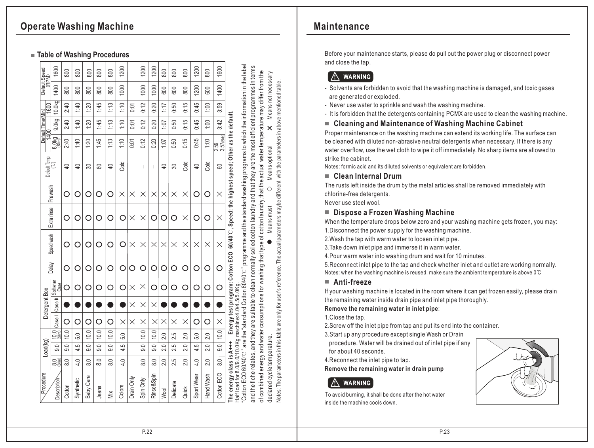# **Operate Washing Machine**

#### **Table of Washing Procedures**

| Default Speed<br>(RPM) | 1600                        | 800            | 800            | 800              | 800           | 800            | 1200     | Ť          | 1200          | 1200             | 800            | 800      | 800      | 1200           | 800       | 1600                                                   |                                                                                                                                                                                                                                                                                                                                                                                |                                                                                                                                          |
|------------------------|-----------------------------|----------------|----------------|------------------|---------------|----------------|----------|------------|---------------|------------------|----------------|----------|----------|----------------|-----------|--------------------------------------------------------|--------------------------------------------------------------------------------------------------------------------------------------------------------------------------------------------------------------------------------------------------------------------------------------------------------------------------------------------------------------------------------|------------------------------------------------------------------------------------------------------------------------------------------|
|                        | 1400                        | 800            | 800            | 800              | 800           | 800            | 1000     | I          | 1000          | 1000             | 600            | 600      | 800      | 1200           | 600       | 1400                                                   |                                                                                                                                                                                                                                                                                                                                                                                |                                                                                                                                          |
| <b>GOO</b>             | 10.0kg                      | 2:40           | 1:40           | 1:20             | 1:45          | 1:13           | 1:10     | 0:01       | 0:12          | 0:20             | 1:17           | 0:50     | 0:15     | 0:45           | 1:00      | 3:59                                                   |                                                                                                                                                                                                                                                                                                                                                                                |                                                                                                                                          |
| Default Time(Min)      | 9.0kg                       | 2:40           | 1:40           | 1:20             | 1:45          | 1:13           | 1:10     | 0:01       | 0:12          | 0:20             | 107            | 0:50     | 0:15     | 0:45           | 1:00      | 3:42                                                   |                                                                                                                                                                                                                                                                                                                                                                                |                                                                                                                                          |
| ╕                      | 8.0kg                       | 2:40           | 1:40           | 1:20             | 1:45          | 1:13           | 1:10     | 0:0        | 0:12          | 0:20             | 1:07           | 0:50     | 0:15     | 0:45           | 1:00      | $\begin{bmatrix} 2.59 \ 3.57 \text{(B)} \end{bmatrix}$ |                                                                                                                                                                                                                                                                                                                                                                                |                                                                                                                                          |
| Default Temp.          |                             | $\overline{P}$ | $\overline{P}$ | 30               | 8             | $\overline{4}$ | Cold     | T          | $\mathsf{I}$  | $\mathsf{I}$     | $\overline{P}$ | 30       | Cold     | $\overline{P}$ | Cold      | 8                                                      | Energy test program: Cotton ECO 60/40°C, Speed: the highest speed; Other as the default.                                                                                                                                                                                                                                                                                       |                                                                                                                                          |
| Prewash                |                             | O              | О              | O                | O             | O              | $\times$ | $\times$   | $\times$      | $\times$         | $\times$       | $\times$ | $\times$ | О              | ∩         | $\times$                                               |                                                                                                                                                                                                                                                                                                                                                                                |                                                                                                                                          |
|                        | Extra rinse                 |                |                |                  |               |                |          | $\times$   | $\times$      |                  |                |          | $\times$ | O              |           | $\times$                                               |                                                                                                                                                                                                                                                                                                                                                                                |                                                                                                                                          |
|                        | <b>Speed wash</b>           | O              | O              | O                | ∩             | O              | O        | $\times$   | $\times$      | $\times$         | $\times$       | $\times$ | $\times$ | $\times$       | $\times$  | $\times$                                               |                                                                                                                                                                                                                                                                                                                                                                                |                                                                                                                                          |
|                        | Delay                       | O              |                |                  |               |                |          | О          |               | ∩                |                | O        | O        | О              | ∩         | C                                                      |                                                                                                                                                                                                                                                                                                                                                                                |                                                                                                                                          |
|                        | Case                        | О              | О              | O                | ∩             | O              | ∩        | $\times$   | ×             | ∩                | O              | О        | O        | O              | O         | С                                                      |                                                                                                                                                                                                                                                                                                                                                                                |                                                                                                                                          |
| Detergent Box          | Case I   Case II   Sottener |                |                |                  |               |                |          | $\times$   | $\times$      | $\times$         |                |          |          |                |           |                                                        |                                                                                                                                                                                                                                                                                                                                                                                |                                                                                                                                          |
|                        |                             | О              | O              | O                | ౧             | ∩              | $\times$ | $\times$   | $\times$      | $\times$         | $\times$       | $\times$ | $\times$ | О              | ◯         | $\times$                                               |                                                                                                                                                                                                                                                                                                                                                                                |                                                                                                                                          |
|                        | $\frac{100}{25}$            | 10.0           | 5.0            | 10.0             | 10.0          | 10.0           | 5.0      | T          | 10.0          | 10.0             | 2.0            | 2.5      | 2.0      | 5.0            | 2.0       | 10.0                                                   |                                                                                                                                                                                                                                                                                                                                                                                |                                                                                                                                          |
| Load(kg)               | 9.0                         | 9.0            | 4.5            | 0.6              | 0.6           | $\overline{0}$ | 4.5      | L          | 0.0           | $\overline{0}$   | 2.0            | ŗ.<br>Ń۰ | 2.0      | 4.5            | 2.0       | $\overline{0.6}$                                       |                                                                                                                                                                                                                                                                                                                                                                                |                                                                                                                                          |
|                        | $\frac{1}{8}$               | $\frac{8}{6}$  | 4.0            | 8.0              | $\frac{0}{8}$ | 8.0            | 4.0      | L          | $\frac{8}{6}$ | $\overline{8.0}$ | 2.0            | 2.5      | 2.0      | 4.0            | 2.0       | $\overline{8.0}$                                       |                                                                                                                                                                                                                                                                                                                                                                                |                                                                                                                                          |
| Procedure              | Description                 | Cotton         | Synthetic      | <b>Baby Care</b> | Jeans         | Mix            | Colors   | Drain Only | Spin Only     | Rinse&Spin       | <b>Wool</b>    | Delicate | Quick    | Sport Wear     | Hand Wash | Cotton ECO                                             | "Cotton ECO 60/40°C " are the "standard Cotton 60/40°C " programme and the standard washing programs to which the information in the label<br>and the fiche relates, and they are suitable to clean normally soiled cotton laundry and that they are the most efficient programmes in terms<br>Half load for 8.0/9.0/10.0Kg machine:4.0/4.5/5.0Kg.<br>The energy class is A+++ | of combined energy and water consumptions for washing that type of cotton laundry, that the actual water temperature may differ from the |

**Maintenance**

Before your maintenance starts, please do pull out the power plug or disconnect power and close the tap.

# A WARNING

- Solvents are forbidden to avoid that the washing machine is damaged, and toxic gases are generated or exploded.
- Never use water to sprinkle and wash the washing machine.
- It is forbidden that the detergents containing PCMX are used to clean the washing machine.

#### **Cleaning and Maintenance of Washing Machine Cabinet**

Proper maintenance on the washing machine can extend its working life. The surface can be cleaned with diluted non-abrasive neutral detergents when necessary. If there is any water overflow, use the wet cloth to wipe it off immediately. No sharp items are allowed to strike the cabinet.

Notes: formic acid and its diluted solvents or equivalent are forbidden.

#### **Clean Internal Drum**

The rusts left inside the drum by the metal articles shall be removed immediately with chlorine-free detergents.

Never use steel wool.

## **Dispose a Frozen Washing Machine**

When the temperature drops below zero and your washing machine gets frozen, you may: 1.Disconnect the power supply for the washing machine.

2.Wash the tap with warm water to loosen inlet pipe.

3.Take down inlet pipe and immerse it in warm water.

4.Pour warm water into washing drum and wait for 10 minutes.

5.Reconnect inlet pipe to the tap and check whether inlet and outlet are working normally. Notes: when the washing machine is reused, make sure the ambient temperature is above 0°C

#### **Anti-freeze**

Notes: The parameters in this table are only for user's reference. The actual parameters maybe different with the parameters in above mentioned table.

Notes: The parameters in this table are only for user's reference. The actual parameters maybe different with the parameters in above mentioned table.

If your washing machine is located in the room where it can get frozen easily, please drain the remaining water inside drain pipe and inlet pipe thoroughly.

#### **Remove the remaining water in inlet pipe**:

1.Close the tap.

2.Screw off the inlet pipe from tap and put its end into the container.

3.Start up any procedure except single Wash or Drain

 procedure. Water will be drained out of inlet pipe if any for about 40 seconds.

4.Reconnect the inlet pipe to tap.

**Remove the remaining water in drain pump**

# **WARNING**

To avoid burning, it shall be done after the hot water inside the machine cools down.

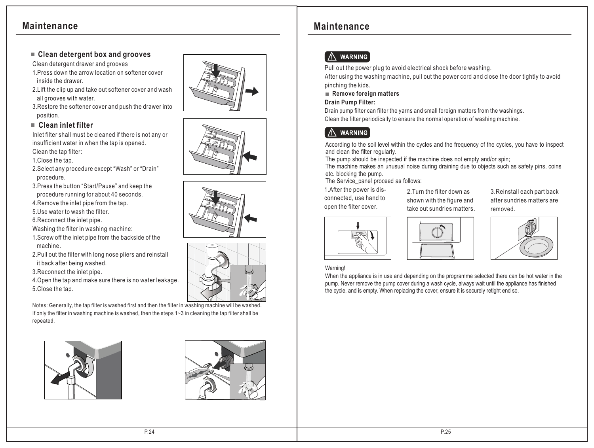#### **Clean detergent box and grooves**

Clean detergent drawer and grooves

1.Press down the arrow location on softener cover inside the drawer.

2.Lift the clip up and take out softener cover and wash all grooves with water.

3.Restore the softener cover and push the drawer into position.

#### **Clean inlet filter**

Inlet filter shall must be cleaned if there is not any or insufficient water in when the tap is opened.

Clean the tap filter:

1.Close the tap.

- 2.Select any procedure except "Wash" or "Drain" procedure.
- 3.Press the button "Start/Pause" and keep the procedure running for about 40 seconds.

4.Remove the inlet pipe from the tap.

5.Use water to wash the filter.

6.Reconnect the inlet pipe.

Washing the filter in washing machine:

- 1.Screw off the inlet pipe from the backside of the machine.
- 2.Pull out the filter with long nose pliers and reinstall it back after being washed.

3.Reconnect the inlet pipe.

4.Open the tap and make sure there is no water leakage.

5.Close the tap.

Notes: Generally, the tap filter is washed first and then the filter in washing machine will be washed. If only the filter in washing machine is washed, then the steps 1~3 in cleaning the tap filter shall be repeated.







# **A** WARNING

Pull out the power plug to avoid electrical shock before washing.

After using the washing machine, pull out the power cord and close the door tightly to avoid pinching the kids.

#### **Remove foreign matters**

#### **Drain Pump Filter:**

Drain pump filter can filter the yarns and small foreign matters from the washings. Clean the filter periodically to ensure the normal operation of washing machine.

#### í **WARNING** l

According to the soil level within the cycles and the frequency of the cycles, you have to inspect and clean the filter regularly.

The pump should be inspected if the machine does not empty and/or spin:

The machine makes an unusual noise during draining due to objects such as safety pins, coins etc. blocking the pump.

The Service\_panel proceed as follows:

1.After the power is disconnected, use hand to open the filter cover.

2.Turn the filter down as shown with the figure and take out sundries matters. 3.Reinstall each part back after sundries matters are removed.





#### Warning!

When the appliance is in use and depending on the programme selected there can be hot water in the pump. Never remove the pump cover during a wash cycle, always wait until the appliance has finished the cycle, and is empty. When replacing the cover, ensure it is securely retight end so.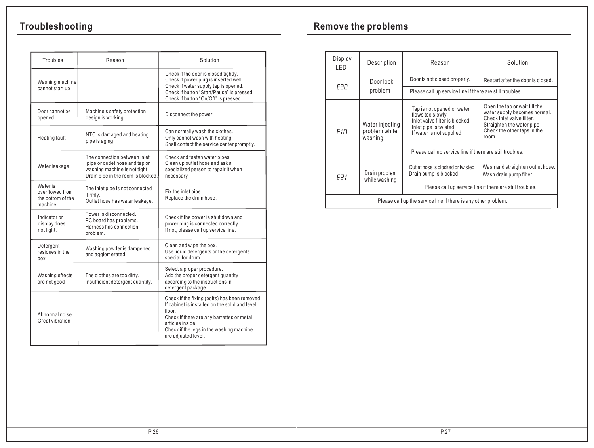# **Troubleshooting**

| Troubles                                                    | Reason                                                                                                                                | Solution                                                                                                                                                                                                                                     |
|-------------------------------------------------------------|---------------------------------------------------------------------------------------------------------------------------------------|----------------------------------------------------------------------------------------------------------------------------------------------------------------------------------------------------------------------------------------------|
| Washing machine<br>cannot start up                          |                                                                                                                                       | Check if the door is closed tightly.<br>Check if power plug is inserted well.<br>Check if water supply tap is opened.<br>Check if button "Start/Pause" is pressed.<br>Check if button "On/Off" is pressed.                                   |
| Door cannot be<br>opened                                    | Machine's safety protection<br>design is working.                                                                                     | Disconnect the power.                                                                                                                                                                                                                        |
| <b>Heating fault</b>                                        | NTC is damaged and heating<br>pipe is aging.                                                                                          | Can normally wash the clothes.<br>Only cannot wash with heating.<br>Shall contact the service center promptly.                                                                                                                               |
| Water leakage                                               | The connection between inlet<br>pipe or outlet hose and tap or<br>washing machine is not tight.<br>Drain pipe in the room is blocked. | Check and fasten water pipes.<br>Clean up outlet hose and ask a<br>specialized person to repair it when<br>necessary.                                                                                                                        |
| Water is<br>overflowed from<br>the bottom of the<br>machine | The inlet pipe is not connected<br>firmly.<br>Outlet hose has water leakage.                                                          | Fix the inlet pipe.<br>Replace the drain hose.                                                                                                                                                                                               |
| Indicator or<br>display does<br>not light.                  | Power is disconnected.<br>PC board has problems.<br>Harness has connection<br>problem.                                                | Check if the power is shut down and<br>power plug is connected correctly.<br>If not, please call up service line.                                                                                                                            |
| Detergent<br>residues in the<br>box                         | Washing powder is dampened<br>and agglomerated.                                                                                       | Clean and wipe the box.<br>Use liquid detergents or the detergents<br>special for drum.                                                                                                                                                      |
| Washing effects<br>are not good                             | The clothes are too dirty.<br>Insufficient detergent quantity.                                                                        | Select a proper procedure.<br>Add the proper detergent quantity<br>according to the instructions in<br>detergent package.                                                                                                                    |
| Abnormal noise<br>Great vibration                           |                                                                                                                                       | Check if the fixing (bolts) has been removed.<br>If cabinet is installed on the solid and level<br>floor<br>Check if there are any barrettes or metal<br>articles inside.<br>Check if the legs in the washing machine<br>are adjusted level. |

# **Remove the problems**

| Display<br>I FD. | Description                                                    | Reason                                                                                                                                  | Solution                                                                                                                                                        |  |  |  |  |  |
|------------------|----------------------------------------------------------------|-----------------------------------------------------------------------------------------------------------------------------------------|-----------------------------------------------------------------------------------------------------------------------------------------------------------------|--|--|--|--|--|
|                  | Door lock                                                      | Door is not closed properly.                                                                                                            | Restart after the door is closed.                                                                                                                               |  |  |  |  |  |
| FRN              | problem                                                        | Please call up service line if there are still troubles.                                                                                |                                                                                                                                                                 |  |  |  |  |  |
| FIR.             | Water injecting<br>problem while<br>washing                    | Tap is not opened or water<br>flows too slowly.<br>Inlet valve filter is blocked.<br>Inlet pipe is twisted.<br>If water is not supplied | Open the tap or wait till the<br>water supply becomes normal.<br>Check inlet valve filter.<br>Straighten the water pipe<br>Check the other taps in the<br>room. |  |  |  |  |  |
|                  |                                                                | Please call up service line if there are still troubles.                                                                                |                                                                                                                                                                 |  |  |  |  |  |
| E21              | Drain problem<br>while washing                                 | Outlet hose is blocked or twisted<br>Drain pump is blocked                                                                              | Wash and straighten outlet hose.<br>Wash drain pump filter                                                                                                      |  |  |  |  |  |
|                  |                                                                | Please call up service line if there are still troubles.                                                                                |                                                                                                                                                                 |  |  |  |  |  |
|                  | Please call up the service line if there is any other problem. |                                                                                                                                         |                                                                                                                                                                 |  |  |  |  |  |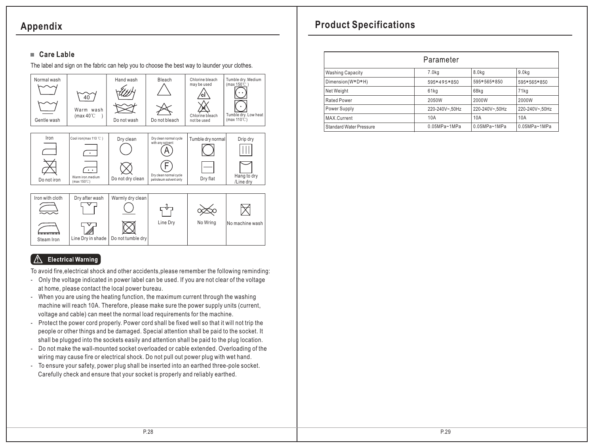# **Appendix**

## $\blacksquare$  Care Lable

The label and sign on the fabric can help you to choose the best way to launder your clothes.



#### **Electrical Warning**

To avoid fire,electrical shock and other accidents,please remember the following reminding:

- Only the voltage indicated in power label can be used. If you are not clear of the voltage at home, please contact the local power bureau.
- When you are using the heating function, the maximum current through the washing machine will reach 10A. Therefore, please make sure the power supply units (current, voltage and cable) can meet the normal load requirements for the machine.
- Protect the power cord properly. Power cord shall be fixed well so that it will not trip the people or other things and be damaged. Special attention shall be paid to the socket. It shall be plugged into the sockets easily and attention shall be paid to the plug location.
- Do not make the wall-mounted socket overloaded or cable extended. Overloading of the wiring may cause fire or electrical shock. Do not pull out power plug with wet hand.
- To ensure your safety, power plug shall be inserted into an earthed three-pole socket. Carefully check and ensure that your socket is properly and reliably earthed.

# **Product Specifications**

| Parameter                      |                  |                   |                   |  |  |  |  |  |
|--------------------------------|------------------|-------------------|-------------------|--|--|--|--|--|
| <b>Washing Capacity</b>        | 7.0kg            | 8.0 <sub>kq</sub> | 9.0 <sub>kq</sub> |  |  |  |  |  |
| Dimension(W*D*H)               | 595*495*850      | 595*565*850       | 595*565*850       |  |  |  |  |  |
| Net Weight                     | 61kg             | 68kg              | 71kg              |  |  |  |  |  |
| <b>Rated Power</b>             | 2050W            | 2000W             | 2000W             |  |  |  |  |  |
| Power Supply                   | 220-240V~,50Hz   | 220-240V~,50Hz    | 220-240V~,50Hz    |  |  |  |  |  |
| MAX.Current                    | 10A              | 10A               | 10A               |  |  |  |  |  |
| <b>Standard Water Pressure</b> | $0.05MPa - 1MPa$ | $0.05MPa - 1MPa$  | $0.05MPa - 1MPa$  |  |  |  |  |  |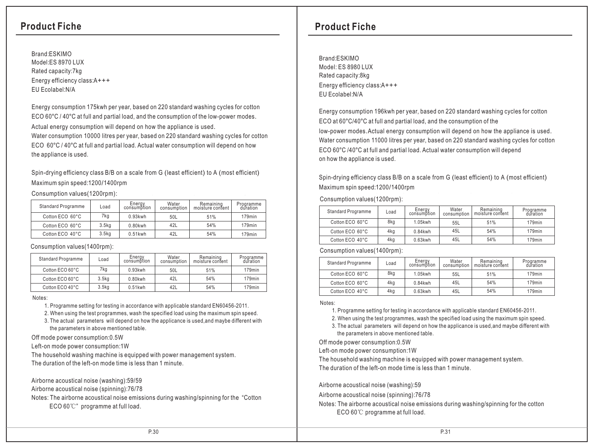Brand:ESKIMO Model:ES 8970 LUX Rated capacity:7kg Energy efficiency class: A+++ EU Ecolabel:N/A

Energy consumption 175kwh per year, based on 220 standard washing cycles for cotton ECO 60°C / 40°C at full and partial load, and the consumption of the low-power modes. Actual energy consumption will depend on how the appliance is used.

Water consumption 10000 litres per year, based on 220 standard washing cycles for cotton ECO 60°C / 40°C at full and partial load. Actual water consumption will depend on how the appliance is used.

Spin-drying efficiency class B/B on a scale from G (least efficient) to A (most efficient) Maximum spin speed:1200/1400rpm

Consumption values(1200rpm):

| <b>Standard Programme</b> | Load              | Energy<br>consumption | Water<br>consumption | Remaining<br>moisture content | Programme<br>duration |
|---------------------------|-------------------|-----------------------|----------------------|-------------------------------|-----------------------|
| Cotton ECO 60°C           | 7kg               | $0.93$ kwh            | 50L                  | 51%                           | 179 <sub>min</sub>    |
| Cotton ECO 60°C           | 3.5 <sub>kq</sub> | 0.80kwh               | 42L                  | 54%                           | 179 <sub>min</sub>    |
| Cotton ECO 40°C           | 3.5 <sub>kq</sub> | $0.51$ kwh            | 42L                  | 54%                           | 179 <sub>min</sub>    |

Consumption values(1400rpm):

| <b>Standard Programme</b> | Load              | Energy<br>consumption | Water<br>consumption | Remaining<br>moisture content | Programme<br>duration |
|---------------------------|-------------------|-----------------------|----------------------|-------------------------------|-----------------------|
| Cotton ECO 60°C           | 7kg               | $0.93$ kwh            | 50L                  | 51%                           | 179 <sub>min</sub>    |
| Cotton ECO 60°C           | 3.5 <sub>kq</sub> | 0.80kwh               | 42L                  | 54%                           | 179 <sub>min</sub>    |
| Cotton ECO 40°C           | 3.5 <sub>kq</sub> | $0.51$ kwh            | 42L                  | 54%                           | 179 <sub>min</sub>    |

Notes:

1. Programme setting for testing in accordance with applicable standard EN60456-2011.

2. When using the test programmes, wash the specified load using the maximum spin speed.

 3. The actual parameters will depend on how the applicance is used,and maybe different with the parameters in above mentioned table.

Off mode power consumption:0.5W

Left-on mode power consumption:1W

The household washing machine is equipped with power management system.

The duration of the left-on mode time is less than 1 minute.

Airborne acoustical noise (washing):59/59

Airborne acoustical noise (spinning):76/78

Notes: The airborne acoustical noise emissions during washing/spinning for the "Cotton ECO 60℃" programme at full load.

## **Product Fiche Product Fiche**

Brand: ESKIMO Model: ES 8980 LUX Rated capacity:8kg Energy efficiency class:A+++ EU Ecolabel:N/A

Energy consumption 196kwh per year, based on 220 standard washing cycles for cotton ECO at 60°C/40°C at full and partial load, and the consumption of the

low-power modes.Actual energy consumption will depend on how the appliance is used. Water consumption 11000 litres per year, based on 220 standard washing cycles for cotton ECO 60°C /40°C at full and partial load. Actual water consumption will depend on how the appliance is used.

Spin-drying efficiency class B/B on a scale from G (least efficient) to A (most efficient) Maximum spin speed:1200/1400rpm

Consumption values(1200rpm):

| <b>Standard Programme</b> | Load | Energy<br>consumption | Water<br>consumption | Remaining<br>moisture content | Programme<br>duration |
|---------------------------|------|-----------------------|----------------------|-------------------------------|-----------------------|
| Cotton ECO 60°C           | 8kg  | 1.05kwh               | 55L                  | 51%                           | $179$ min             |
| Cotton ECO 60°C           | 4kg  | $0.84$ kwh            | 45L                  | 54%                           | $179$ min             |
| Cotton ECO 40°C           | 4kg  | $0.63$ kwh            | 45L                  | 54%                           | $179$ min             |

Consumption values(1400rpm):

| <b>Standard Programme</b> | Load | Energy<br>consumption | Water<br>consumption | Remaining<br>moisture content | Programme<br>duration |
|---------------------------|------|-----------------------|----------------------|-------------------------------|-----------------------|
| Cotton ECO 60°C           | 8kg  | 1.05kwh               | 55L                  | 51%                           | $179$ min             |
| Cotton ECO 60°C           | 4kg  | $0.84$ kwh            | 45L                  | 54%                           | $179$ min             |
| Cotton ECO 40°C           | 4kg  | $0.63$ kwh            | 45L                  | 54%                           | $179$ min             |

Notes:

1. Programme setting for testing in accordance with applicable standard EN60456-2011.

2. When using the test programmes, wash the specified load using the maximum spin speed.

 3. The actual parameters will depend on how the applicance is used,and maybe different with the parameters in above mentioned table.

Off mode power consumption:0.5W

Left-on mode power consumption:1W

The household washing machine is equipped with power management system. The duration of the left-on mode time is less than 1 minute.

Airborne acoustical noise (washing):59

Airborne acoustical noise (spinning):76/78

Notes: The airborne acoustical noise emissions during washing/spinning for the cotton ECO 60℃ programme at full load.